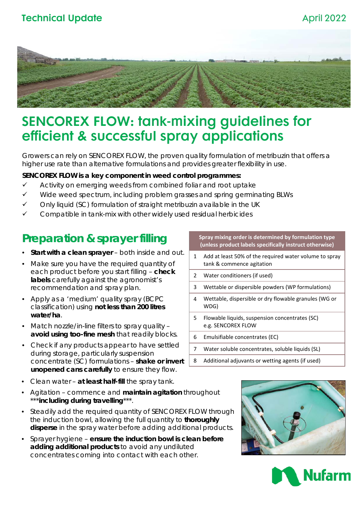## **Technical Update** April 2022



# SENCOREX FLOW: tank-mixing guidelines for efficient & successful spray applications

Growers can rely on SENCOREX FLOW, the proven quality formulation of metribuzin that offers a higher use rate than alternative formulations and provides greater flexibility in use.

#### **SENCOREX FLOW is a key component in weed control programmes:**

- $\checkmark$  Activity on emerging weeds from combined foliar and root uptake
- $\checkmark$  Wide weed spectrum, including problem grasses and spring germinating BLWs
- Only liquid (SC) formulation of straight metribuzin available in the UK
- Compatible in tank-mix with other widely used residual herbicides

## **Preparation & sprayer filling**

- **Start with a clean sprayer**  both inside and out.
- Make sure you have the required quantity of each product *before* you start filling – **check labels** carefully against the agronomist's recommendation and spray plan.
- Apply as a 'medium' quality spray (BCPC classification) using **not less than 200 litres water/ha**.
- Match nozzle/in-line filters to spray quality **avoid using too-fine mesh** that readily blocks.
- Check if any products appear to have settled during storage, particularly suspension concentrate (SC) formulations – **shake or invert unopened cans carefully** to ensure they flow.
- Clean water **at least half-fill** the spray tank.
- Agitation commence and **maintain agitation** throughout \*\*\***including during travelling**\*\*\*.
- Steadily add the required quantity of *SENCOREX FLOW* through the induction bowl, allowing the full quantity to **thoroughly disperse** in the spray water before adding additional products.
- Sprayer hygiene **ensure the induction bowl is clean before adding additional products** to avoid any undiluted concentrates coming into contact with each other.

**Spray mixing order is determined by formulation type (unless product labels specifically instruct otherwise)**

- Add at least 50% of the required water volume to spray tank & commence agitation
- 2 Water conditioners (if used)
- 3 Wettable or dispersible powders (WP formulations)
- 4 Wettable, dispersible or dry flowable granules (WG or WDG)
- 5 Flowable liquids, suspension concentrates (SC) e.g. SENCOREX FLOW
- 6 Emulsifiable concentrates (EC)
- 7 Water soluble concentrates, soluble liquids (SL)
- 8 Additional adjuvants or wetting agents (if used)